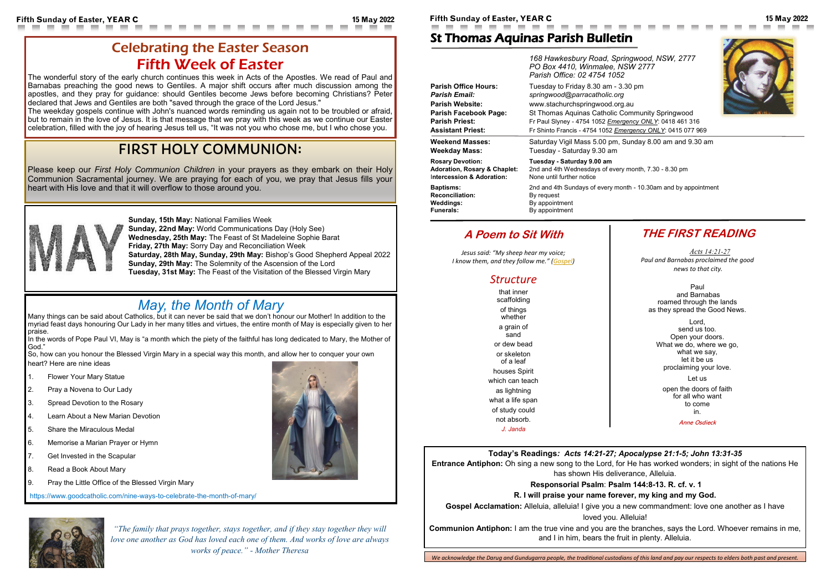### **Today's Readings***: Acts 14:21-27; Apocalypse 21:1-5; John 13:31-35*

**Entrance Antiphon:** Oh sing a new song to the Lord, for He has worked wonders; in sight of the nations He has shown His deliverance, Alleluia.

**Gospel Acclamation:** Alleluia, alleluia! I give you a new commandment: love one another as I have loved you. Alleluia!

#### **Responsorial Psalm**: **Psalm 144:8-13. R. cf. v. 1**

#### **R. I will praise your name forever, my king and my God.**

**Communion Antiphon:** I am the true vine and you are the branches, says the Lord. Whoever remains in me, and I in him, bears the fruit in plenty. Alleluia.



**Fifth Sunday of Easter, YEAR C 15 May 2022 Fifth Sunday of Easter, YEAR C 15 May 2022**

## St Thomas Aquinas Parish Bulletin

|                                         | 168 Hawkesbury Road, Springwood, NSW, 2777<br>PO Box 4410, Winmalee, NSW 2777<br>Parish Office: 02 4754 1052 |
|-----------------------------------------|--------------------------------------------------------------------------------------------------------------|
| <b>Parish Office Hours:</b>             | Tuesday to Friday 8.30 am - 3.30 pm                                                                          |
| <b>Parish Email:</b>                    | springwood@parracatholic.org                                                                                 |
| <b>Parish Website:</b>                  | www.stachurchspringwood.org.au                                                                               |
| Parish Facebook Page:                   | St Thomas Aquinas Catholic Community Springwood                                                              |
| <b>Parish Priest:</b>                   | Fr Paul Slyney - 4754 1052 Emergency ONLY: 0418 461 316                                                      |
| <b>Assistant Priest:</b>                | Fr Shinto Francis - 4754 1052 Emergency ONLY: 0415 077 969                                                   |
| <b>Weekend Masses:</b>                  | Saturday Vigil Mass 5.00 pm, Sunday 8.00 am and 9.30 am                                                      |
| <b>Weekday Mass:</b>                    | Tuesday - Saturday 9.30 am                                                                                   |
| <b>Rosary Devotion:</b>                 | Tuesday - Saturday 9.00 am                                                                                   |
| <b>Adoration, Rosary &amp; Chaplet:</b> | 2nd and 4th Wednesdays of every month, 7.30 - 8.30 pm                                                        |
| Intercession & Adoration:               | None until further notice                                                                                    |
| <b>Baptisms:</b>                        | 2nd and 4th Sundays of every month - 10.30am and by appointment                                              |
| <b>Reconciliation:</b>                  | By request                                                                                                   |
| Weddings:                               | By appointment                                                                                               |
| <b>Funerals:</b>                        | By appointment                                                                                               |

## **THE FIRST READING**

*Acts [14:21](https://bible.usccb.org/bible/acts/14?21)-27 Paul and Barnabas proclaimed the good news to that city.*

Paul and Barnabas roamed through the lands as they spread the Good News.

Lord, send us too. Open your doors. What we do, where we go, what we say, let it be us proclaiming your love.

Let us

open the doors of faith for all who want to come in. Anne Osdieck



## **A Poem to Sit With**

*Jesus said: "My sheep hear my voice; I know them, and they follow me." ([Gospel\)](https://bible.usccb.org/bible/readings/051522.cfm)*

### *Structure*

In the words of Pope Paul VI, May is "a month which the piety of the faithful has long dedicated to Mary, the Mother of God."

that inner scaffolding of things whether a grain of sand or dew bead or skeleton of a leaf houses Spirit which can teach as lightning what a life span of study could not absorb.

*J. Janda*

## Celebrating the Easter Season Fifth Week of Easter

 $\sim$ 

T.

The wonderful story of the early church continues this week in Acts of the Apostles. We read of Paul and Barnabas preaching the good news to Gentiles. A major shift occurs after much discussion among the apostles, and they pray for guidance: should Gentiles become Jews before becoming Christians? Peter declared that Jews and Gentiles are both "saved through the grace of the Lord Jesus."

The weekday gospels continue with John's nuanced words reminding us again not to be troubled or afraid, but to remain in the love of Jesus. It is that message that we pray with this week as we continue our Easter celebration, filled with the joy of hearing Jesus tell us, "It was not you who chose me, but I who chose you.

# FIRST HOLY COMMUNION:

Please keep our *First Holy Communion Children* in your prayers as they embark on their Holy Communion Sacramental journey. We are praying for each of you, we pray that Jesus fills your heart with His love and that it will overflow to those around you.



*"The family that prays together, stays together, and if they stay together they will love one another as God has loved each one of them. And works of love are always works of peace." - Mother Theresa*

**Sunday, 15th May:** National Families Week **Sunday, 22nd May:** World Communications Day (Holy See) **Wednesday, 25th May:** The Feast of St Madeleine Sophie Barat **Friday, 27th May:** Sorry Day and Reconciliation Week **Saturday, 28th May, Sunday, 29th May:** Bishop's Good Shepherd Appeal 2022 **Sunday, 29th May:** The Solemnity of the Ascension of the Lord **Tuesday, 31st May:** The Feast of the Visitation of the Blessed Virgin Mary

# *May, the Month of Mary*

Many things can be said about Catholics, but it can never be said that we don't honour our Mother! In addition to the myriad feast days honouring Our Lady in her many titles and virtues, the entire month of May is especially given to her praise.

So, how can you honour the Blessed Virgin Mary in a special way this month, and allow her to conquer your own heart? Here are nine ideas

- 1. Flower Your Mary Statue
- 2. Pray a Novena to Our Lady
- 3. Spread Devotion to the Rosary
- 4. Learn About a New Marian Devotion
- 5. Share the Miraculous Medal
- 6. Memorise a Marian Prayer or Hymn
- 7. Get Invested in the Scapular
- 8. Read a Book About Mary
- 9. Pray the Little Office of the Blessed Virgin Mary

https://www.goodcatholic.com/nine-ways-to-celebrate-the-month-of-mary/